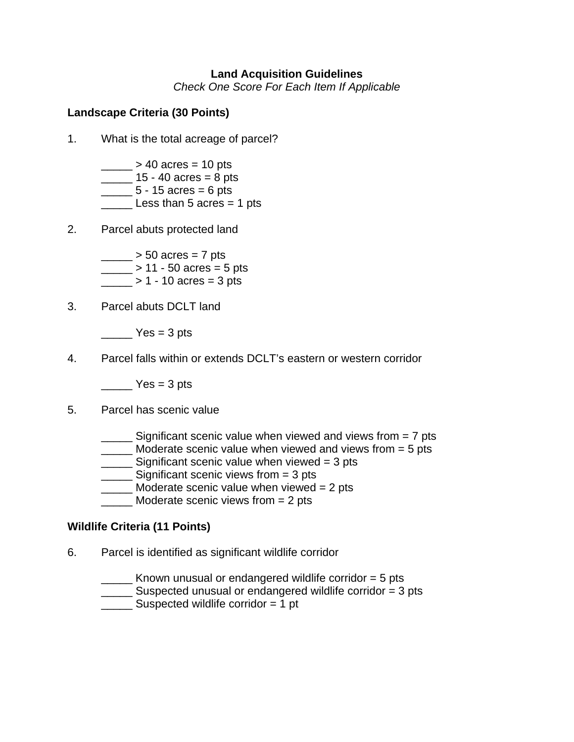# **Land Acquisition Guidelines**

*Check One Score For Each Item If Applicable* 

## **Landscape Criteria (30 Points)**

- 1. What is the total acreage of parcel?
	- $\frac{1}{2}$  > 40 acres = 10 pts
	- $\frac{1}{2}$  15 40 acres = 8 pts
	- $\frac{1}{2}$  5 15 acres = 6 pts
	- Less than 5 acres  $= 1$  pts
- 2. Parcel abuts protected land
	- $\sim$  > 50 acres = 7 pts
	- $\frac{1}{2}$  > 11 50 acres = 5 pts
	- $> 1 10$  acres = 3 pts
- 3. Parcel abuts DCLT land
	- $Yes = 3 pts$
- 4. Parcel falls within or extends DCLT's eastern or western corridor
	- $Yes = 3 pts$
- 5. Parcel has scenic value
	- \_\_\_\_\_ Significant scenic value when viewed and views from = 7 pts
	- \_\_\_\_\_ Moderate scenic value when viewed and views from = 5 pts
	- \_\_\_\_\_\_ Significant scenic value when viewed = 3 pts
	- \_\_\_\_\_\_ Significant scenic views from = 3 pts
	- \_\_\_\_\_ Moderate scenic value when viewed = 2 pts
	- Moderate scenic views from  $= 2$  pts

## **Wildlife Criteria (11 Points)**

- 6. Parcel is identified as significant wildlife corridor
	- \_\_\_\_\_ Known unusual or endangered wildlife corridor = 5 pts
	- \_\_\_\_\_\_ Suspected unusual or endangered wildlife corridor = 3 pts
	- Suspected wildlife corridor = 1 pt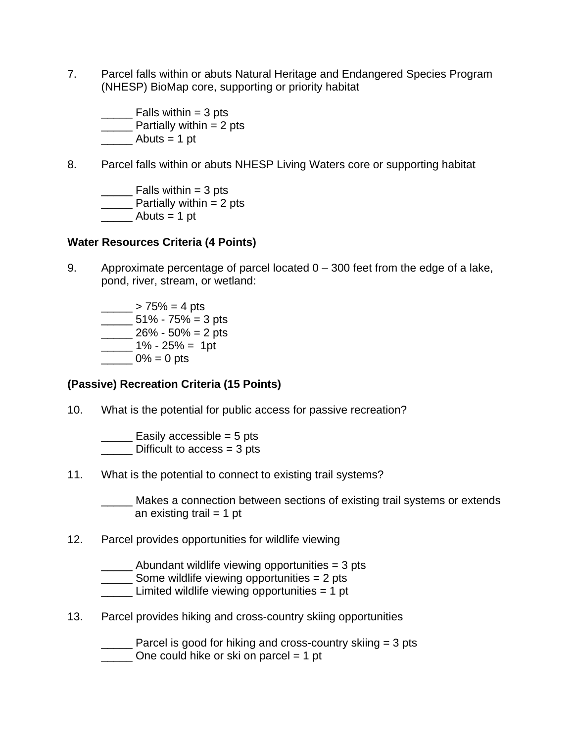7. Parcel falls within or abuts Natural Heritage and Endangered Species Program (NHESP) BioMap core, supporting or priority habitat

 $\frac{1}{\sqrt{1-\frac{1}{\sqrt{1-\frac{1}{\sqrt{1-\frac{1}{\sqrt{1-\frac{1}{\sqrt{1-\frac{1}{\sqrt{1-\frac{1}{\sqrt{1-\frac{1}{\sqrt{1-\frac{1}{\sqrt{1-\frac{1}{\sqrt{1-\frac{1}{\sqrt{1-\frac{1}{\sqrt{1-\frac{1}{\sqrt{1-\frac{1}{\sqrt{1-\frac{1}{\sqrt{1-\frac{1}{\sqrt{1-\frac{1}{\sqrt{1-\frac{1}{\sqrt{1-\frac{1}{\sqrt{1-\frac{1}{\sqrt{1-\frac{1}{\sqrt{1-\frac{1}{\sqrt{1-\frac{1}{\sqrt{1-\frac{1}{\sqrt{1-\frac{1$  $\frac{1}{2}$  Partially within = 2 pts  $\frac{\ }{\ }$  Abuts = 1 pt

8. Parcel falls within or abuts NHESP Living Waters core or supporting habitat

 $\frac{1}{2}$  Falls within = 3 pts

 $\frac{1}{2}$  Partially within = 2 pts

 $\frac{1}{2}$  Abuts = 1 pt

## **Water Resources Criteria (4 Points)**

9. Approximate percentage of parcel located 0 – 300 feet from the edge of a lake, pond, river, stream, or wetland:

 $\frac{1}{2}$  > 75% = 4 pts  $\frac{1}{2}$  51% - 75% = 3 pts  $\frac{1}{26\% - 50\%} = 2 \text{ pts}$  $\frac{1}{6}$  1% - 25% = 1pt  $\frac{1}{2}$  0% = 0 pts

## **(Passive) Recreation Criteria (15 Points)**

10. What is the potential for public access for passive recreation?

 $\frac{1}{2}$  Easily accessible = 5 pts Difficult to  $access = 3$  pts

11. What is the potential to connect to existing trail systems?

Makes a connection between sections of existing trail systems or extends an existing trail  $= 1$  pt

- 12. Parcel provides opportunities for wildlife viewing
	- \_\_\_\_\_ Abundant wildlife viewing opportunities = 3 pts
	- \_\_\_\_\_\_\_ Some wildlife viewing opportunities = 2 pts
	- \_\_\_\_\_ Limited wildlife viewing opportunities = 1 pt
- 13. Parcel provides hiking and cross-country skiing opportunities

**EXECUTE:** Parcel is good for hiking and cross-country skiing  $= 3$  pts

 $\frac{1}{2}$  One could hike or ski on parcel = 1 pt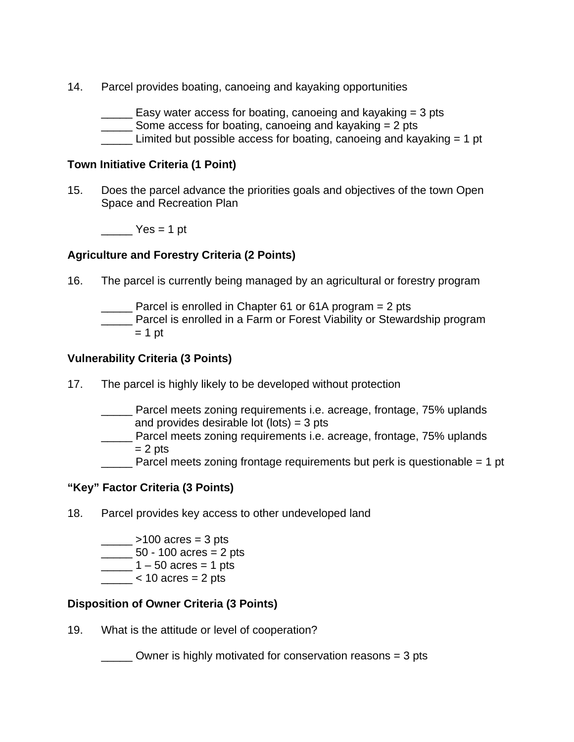14. Parcel provides boating, canoeing and kayaking opportunities

 \_\_\_\_\_ Easy water access for boating, canoeing and kayaking = 3 pts \_\_\_\_\_ Some access for boating, canoeing and kayaking = 2 pts \_\_\_\_\_ Limited but possible access for boating, canoeing and kayaking = 1 pt

## **Town Initiative Criteria (1 Point)**

15. Does the parcel advance the priorities goals and objectives of the town Open Space and Recreation Plan

 $\frac{1}{2}$  Yes = 1 pt

# **Agriculture and Forestry Criteria (2 Points)**

- 16. The parcel is currently being managed by an agricultural or forestry program
	- **Parcel is enrolled in Chapter 61 or 61A program = 2 pts EXECT** Parcel is enrolled in a Farm or Forest Viability or Stewardship program  $= 1$  pt

## **Vulnerability Criteria (3 Points)**

- 17. The parcel is highly likely to be developed without protection
	- **\_\_\_\_\_** Parcel meets zoning requirements i.e. acreage, frontage, 75% uplands and provides desirable lot (lots) =  $3$  pts
	- **\_\_\_\_\_** Parcel meets zoning requirements i.e. acreage, frontage, 75% uplands  $= 2$  pts
	- \_\_\_\_\_ Parcel meets zoning frontage requirements but perk is questionable = 1 pt

## **"Key" Factor Criteria (3 Points)**

- 18. Parcel provides key access to other undeveloped land
	- $\frac{1}{2}$  >100 acres = 3 pts
	- $\frac{1}{2}$  50 100 acres = 2 pts
	- $\frac{1}{2}$  1 50 acres = 1 pts
	- $< 10$  acres  $= 2$  pts

## **Disposition of Owner Criteria (3 Points)**

19. What is the attitude or level of cooperation?

\_\_\_\_\_ Owner is highly motivated for conservation reasons = 3 pts